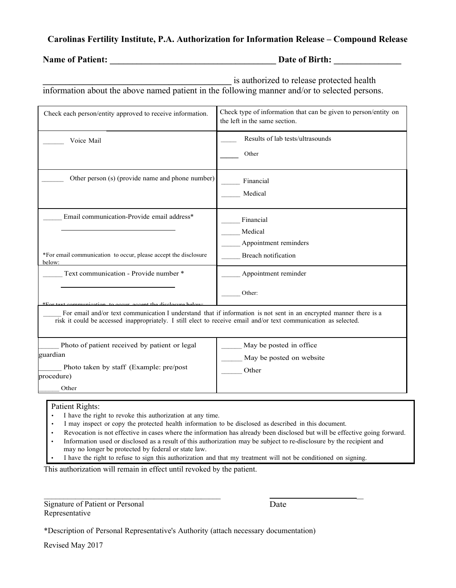## **Carolinas Fertility Institute, P.A. Authorization for Information Release – Compound Release**

**Name of Patient: \_\_\_\_\_\_\_\_\_\_\_\_\_\_\_\_\_\_\_\_\_\_\_\_\_\_\_\_\_\_\_\_\_\_\_\_\_ Date of Birth: \_\_\_\_\_\_\_\_\_\_\_\_\_\_\_**

**\_\_\_\_\_\_\_\_\_\_\_\_\_\_\_\_\_\_\_\_\_\_\_\_\_\_\_\_\_\_\_\_\_\_\_\_\_\_\_\_\_\_** is authorized to release protected health

information about the above named patient in the following manner and/or to selected persons.

| Check each person/entity approved to receive information.                                                                                                            | Check type of information that can be given to person/entity on<br>the left in the same section.                   |
|----------------------------------------------------------------------------------------------------------------------------------------------------------------------|--------------------------------------------------------------------------------------------------------------------|
| Voice Mail                                                                                                                                                           | Results of lab tests/ultrasounds                                                                                   |
|                                                                                                                                                                      | Other                                                                                                              |
| Other person (s) (provide name and phone number)                                                                                                                     | Financial                                                                                                          |
|                                                                                                                                                                      | Medical                                                                                                            |
| Email communication-Provide email address*                                                                                                                           | Financial                                                                                                          |
|                                                                                                                                                                      | Medical                                                                                                            |
|                                                                                                                                                                      | Appointment reminders                                                                                              |
| *For email communication to occur, please accept the disclosure<br>below:                                                                                            | Breach notification                                                                                                |
| Text communication - Provide number *                                                                                                                                | Appointment reminder                                                                                               |
|                                                                                                                                                                      | Other:                                                                                                             |
| emmunication to occur gocent the disclosure help<br>risk it could be accessed inappropriately. I still elect to receive email and/or text communication as selected. | For email and/or text communication I understand that if information is not sent in an encrypted manner there is a |
| Photo of patient received by patient or legal                                                                                                                        | May be posted in office                                                                                            |
| guardian                                                                                                                                                             | May be posted on website                                                                                           |
| Photo taken by staff (Example: pre/post<br>procedure)                                                                                                                | Other                                                                                                              |
| Other                                                                                                                                                                |                                                                                                                    |

## Patient Rights:

- I have the right to revoke this authorization at any time.
- I may inspect or copy the protected health information to be disclosed as described in this document.
- Revocation is not effective in cases where the information has already been disclosed but will be effective going forward.
- Information used or disclosed as a result of this authorization may be subject to re-disclosure by the recipient and may no longer be protected by federal or state law.
- I have the right to refuse to sign this authorization and that my treatment will not be conditioned on signing.

This authorization will remain in effect until revoked by the patient.

Signature of Patient or Personal Representative

 \_ Date

\*Description of Personal Representative's Authority (attach necessary documentation)

Revised May 2017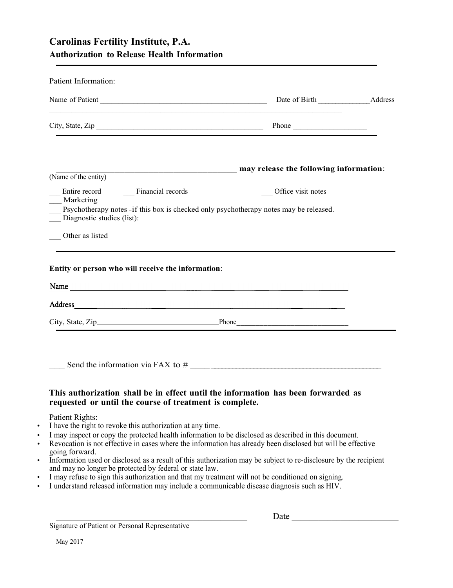## **Carolinas Fertility Institute, P.A. Authorization to Release Health Information**

|                                              |                                                         | <u> 1989 - Johann Harry Barn, mars and deutscher Stadt and deutscher Stadt and deutscher Stadt and deutscher Stadt</u> |  |
|----------------------------------------------|---------------------------------------------------------|------------------------------------------------------------------------------------------------------------------------|--|
|                                              |                                                         | City, State, Zip Phone                                                                                                 |  |
|                                              |                                                         | <b>EXAMPLE 2018 THE 2019 ISSUE 2018 THE 2019 ISSUE 2019 THE 2019 ISSUE 2019 THE 2019 ISSUE 2019 ISSUE 2019 THE 20</b>  |  |
| (Name of the entity)                         |                                                         |                                                                                                                        |  |
| Entire record Financial records<br>Marketing |                                                         | __ Office visit notes                                                                                                  |  |
| Diagnostic studies (list):                   |                                                         | Psychotherapy notes -if this box is checked only psychotherapy notes may be released.                                  |  |
| Other as listed                              |                                                         |                                                                                                                        |  |
|                                              |                                                         |                                                                                                                        |  |
|                                              |                                                         |                                                                                                                        |  |
|                                              | Entity or person who will receive the information:      |                                                                                                                        |  |
|                                              |                                                         |                                                                                                                        |  |
|                                              |                                                         | Name                                                                                                                   |  |
|                                              |                                                         |                                                                                                                        |  |
|                                              |                                                         |                                                                                                                        |  |
|                                              | requested or until the course of treatment is complete. | This authorization shall be in effect until the information has been forwarded as                                      |  |